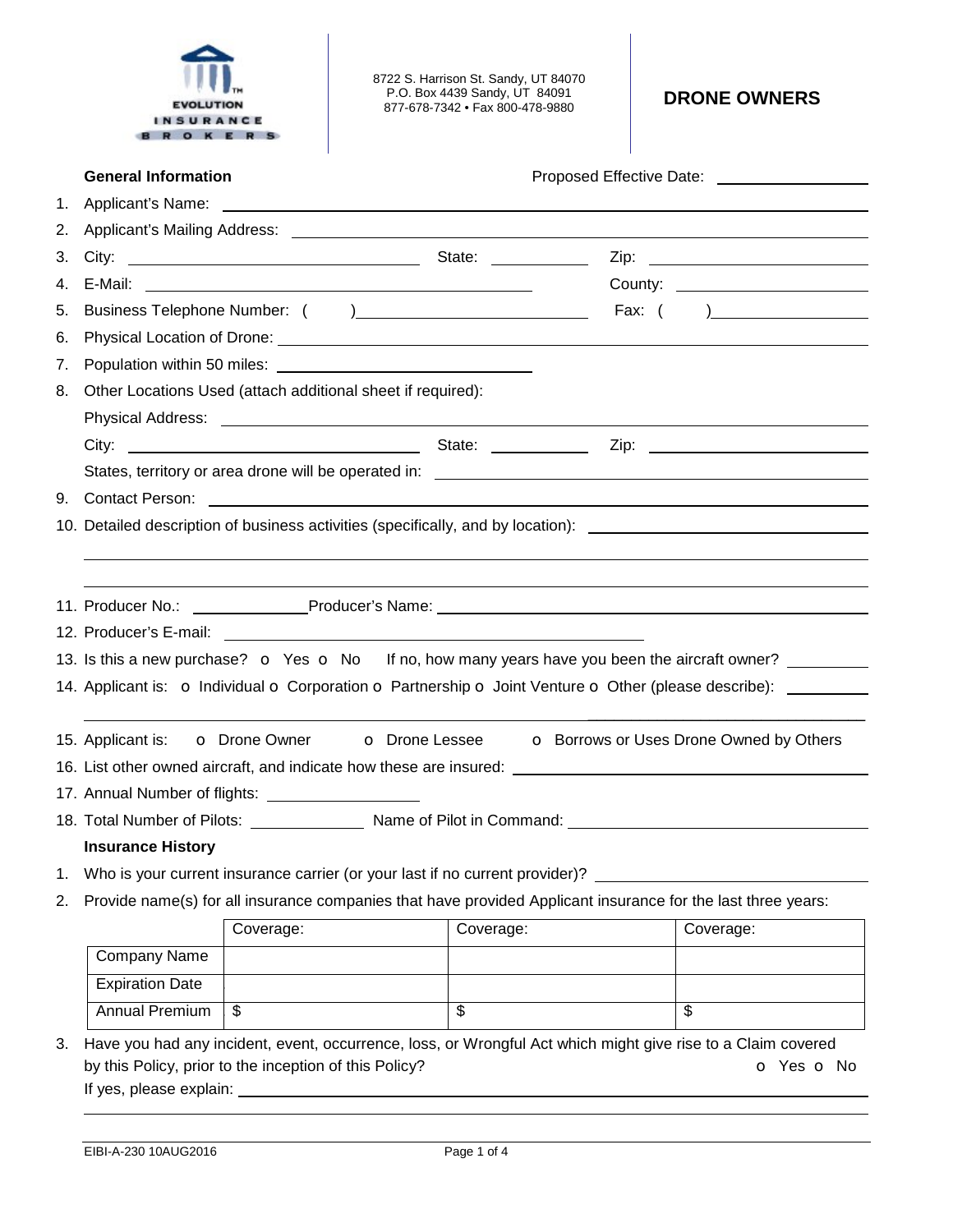

8722 S. Harrison St. Sandy, UT 84070 P.O. Box 4439 Sandy, UT 84091 877-678-7342 • Fax 800-478-9880 **DRONE OWNERS** 

|                                                                                                                                                                              | <b>General Information</b>                                                                                                                                                                                                           |                                                                                                                                                                                                                                      |                          | Proposed Effective Date: <u>_______________________________</u>                                                |  |  |
|------------------------------------------------------------------------------------------------------------------------------------------------------------------------------|--------------------------------------------------------------------------------------------------------------------------------------------------------------------------------------------------------------------------------------|--------------------------------------------------------------------------------------------------------------------------------------------------------------------------------------------------------------------------------------|--------------------------|----------------------------------------------------------------------------------------------------------------|--|--|
|                                                                                                                                                                              |                                                                                                                                                                                                                                      |                                                                                                                                                                                                                                      |                          |                                                                                                                |  |  |
| 2.                                                                                                                                                                           | Applicant's Mailing Address: <u>Community of the Community of the Community of the Community of the Community of the Community of the Community of the Community of the Community of the Community of the Community of the Commu</u> |                                                                                                                                                                                                                                      |                          |                                                                                                                |  |  |
| 3.                                                                                                                                                                           |                                                                                                                                                                                                                                      |                                                                                                                                                                                                                                      |                          |                                                                                                                |  |  |
| 4.                                                                                                                                                                           |                                                                                                                                                                                                                                      |                                                                                                                                                                                                                                      |                          |                                                                                                                |  |  |
| 5.                                                                                                                                                                           |                                                                                                                                                                                                                                      |                                                                                                                                                                                                                                      |                          |                                                                                                                |  |  |
| 6.                                                                                                                                                                           |                                                                                                                                                                                                                                      | Physical Location of Drone: <u>example and a series of the series of the series of the series of the series of the series of the series of the series of the series of the series of the series of the series of the series of t</u> |                          |                                                                                                                |  |  |
| 7.                                                                                                                                                                           |                                                                                                                                                                                                                                      |                                                                                                                                                                                                                                      |                          |                                                                                                                |  |  |
| 8.                                                                                                                                                                           | Other Locations Used (attach additional sheet if required):                                                                                                                                                                          |                                                                                                                                                                                                                                      |                          |                                                                                                                |  |  |
|                                                                                                                                                                              |                                                                                                                                                                                                                                      |                                                                                                                                                                                                                                      |                          |                                                                                                                |  |  |
|                                                                                                                                                                              |                                                                                                                                                                                                                                      |                                                                                                                                                                                                                                      |                          |                                                                                                                |  |  |
|                                                                                                                                                                              |                                                                                                                                                                                                                                      |                                                                                                                                                                                                                                      |                          |                                                                                                                |  |  |
|                                                                                                                                                                              |                                                                                                                                                                                                                                      |                                                                                                                                                                                                                                      |                          |                                                                                                                |  |  |
|                                                                                                                                                                              |                                                                                                                                                                                                                                      |                                                                                                                                                                                                                                      |                          | 10. Detailed description of business activities (specifically, and by location): _____________________________ |  |  |
|                                                                                                                                                                              |                                                                                                                                                                                                                                      |                                                                                                                                                                                                                                      |                          |                                                                                                                |  |  |
|                                                                                                                                                                              |                                                                                                                                                                                                                                      |                                                                                                                                                                                                                                      |                          |                                                                                                                |  |  |
|                                                                                                                                                                              |                                                                                                                                                                                                                                      |                                                                                                                                                                                                                                      |                          |                                                                                                                |  |  |
|                                                                                                                                                                              |                                                                                                                                                                                                                                      |                                                                                                                                                                                                                                      |                          |                                                                                                                |  |  |
|                                                                                                                                                                              |                                                                                                                                                                                                                                      |                                                                                                                                                                                                                                      |                          | 13. Is this a new purchase? $\bullet$ Yes $\bullet$ No If no, how many years have you been the aircraft owner? |  |  |
|                                                                                                                                                                              |                                                                                                                                                                                                                                      |                                                                                                                                                                                                                                      |                          | 14. Applicant is: o Individual o Corporation o Partnership o Joint Venture o Other (please describe): _______  |  |  |
|                                                                                                                                                                              |                                                                                                                                                                                                                                      |                                                                                                                                                                                                                                      |                          |                                                                                                                |  |  |
|                                                                                                                                                                              |                                                                                                                                                                                                                                      | 15. Applicant is: <b>o</b> Drone Owner <b>o</b> Drone Lessee <b>o</b> Borrows or Uses Drone Owned by Others                                                                                                                          |                          |                                                                                                                |  |  |
|                                                                                                                                                                              |                                                                                                                                                                                                                                      |                                                                                                                                                                                                                                      |                          | 16. List other owned aircraft, and indicate how these are insured:                                             |  |  |
|                                                                                                                                                                              | 17. Annual Number of flights: ____________________                                                                                                                                                                                   |                                                                                                                                                                                                                                      |                          |                                                                                                                |  |  |
|                                                                                                                                                                              | 18. Total Number of Pilots: Name of Pilot in Command: Name of Pilot in Command:                                                                                                                                                      |                                                                                                                                                                                                                                      |                          |                                                                                                                |  |  |
|                                                                                                                                                                              | <b>Insurance History</b>                                                                                                                                                                                                             |                                                                                                                                                                                                                                      |                          |                                                                                                                |  |  |
| 1.                                                                                                                                                                           | Who is your current insurance carrier (or your last if no current provider)?                                                                                                                                                         |                                                                                                                                                                                                                                      |                          |                                                                                                                |  |  |
| 2.                                                                                                                                                                           | Provide name(s) for all insurance companies that have provided Applicant insurance for the last three years:                                                                                                                         |                                                                                                                                                                                                                                      |                          |                                                                                                                |  |  |
|                                                                                                                                                                              |                                                                                                                                                                                                                                      | Coverage:                                                                                                                                                                                                                            | Coverage:                | Coverage:                                                                                                      |  |  |
|                                                                                                                                                                              | Company Name                                                                                                                                                                                                                         |                                                                                                                                                                                                                                      |                          |                                                                                                                |  |  |
|                                                                                                                                                                              | <b>Expiration Date</b>                                                                                                                                                                                                               |                                                                                                                                                                                                                                      |                          |                                                                                                                |  |  |
|                                                                                                                                                                              | <b>Annual Premium</b>                                                                                                                                                                                                                | \$                                                                                                                                                                                                                                   | $\overline{\mathcal{G}}$ | \$                                                                                                             |  |  |
|                                                                                                                                                                              |                                                                                                                                                                                                                                      |                                                                                                                                                                                                                                      |                          |                                                                                                                |  |  |
| Have you had any incident, event, occurrence, loss, or Wrongful Act which might give rise to a Claim covered<br>3.<br>by this Policy, prior to the inception of this Policy? |                                                                                                                                                                                                                                      |                                                                                                                                                                                                                                      | o Yes o No               |                                                                                                                |  |  |
|                                                                                                                                                                              |                                                                                                                                                                                                                                      |                                                                                                                                                                                                                                      |                          |                                                                                                                |  |  |
|                                                                                                                                                                              |                                                                                                                                                                                                                                      |                                                                                                                                                                                                                                      |                          |                                                                                                                |  |  |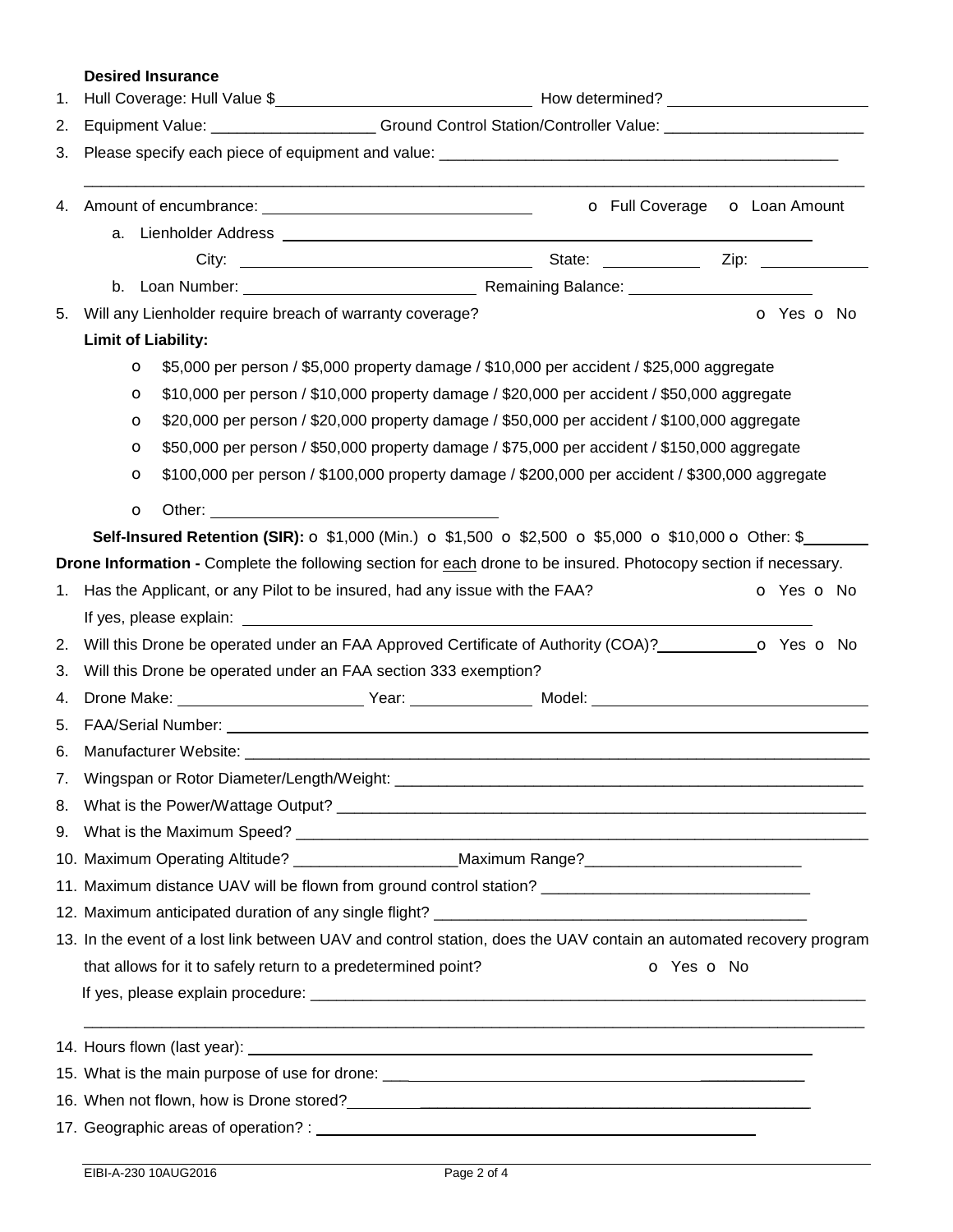## **Desired Insurance**

| 1. |                                                                                                                     |                                                                                                                                                |                          |  |  |  |  |
|----|---------------------------------------------------------------------------------------------------------------------|------------------------------------------------------------------------------------------------------------------------------------------------|--------------------------|--|--|--|--|
| 2. |                                                                                                                     | Equipment Value: ______________________Ground Control Station/Controller Value: __________________________                                     |                          |  |  |  |  |
| 3. |                                                                                                                     |                                                                                                                                                |                          |  |  |  |  |
|    |                                                                                                                     |                                                                                                                                                |                          |  |  |  |  |
|    |                                                                                                                     |                                                                                                                                                |                          |  |  |  |  |
|    |                                                                                                                     |                                                                                                                                                |                          |  |  |  |  |
|    |                                                                                                                     |                                                                                                                                                |                          |  |  |  |  |
| 5. | Will any Lienholder require breach of warranty coverage?<br>O Yes O No                                              |                                                                                                                                                |                          |  |  |  |  |
|    | <b>Limit of Liability:</b>                                                                                          |                                                                                                                                                |                          |  |  |  |  |
|    | O                                                                                                                   | \$5,000 per person / \$5,000 property damage / \$10,000 per accident / \$25,000 aggregate                                                      |                          |  |  |  |  |
|    | $\circ$                                                                                                             | \$10,000 per person / \$10,000 property damage / \$20,000 per accident / \$50,000 aggregate                                                    |                          |  |  |  |  |
|    | O                                                                                                                   | \$20,000 per person / \$20,000 property damage / \$50,000 per accident / \$100,000 aggregate                                                   |                          |  |  |  |  |
|    | O                                                                                                                   | \$50,000 per person / \$50,000 property damage / \$75,000 per accident / \$150,000 aggregate                                                   |                          |  |  |  |  |
|    | O                                                                                                                   | \$100,000 per person / \$100,000 property damage / \$200,000 per accident / \$300,000 aggregate                                                |                          |  |  |  |  |
|    | $\circ$                                                                                                             |                                                                                                                                                |                          |  |  |  |  |
|    |                                                                                                                     | <b>Self-Insured Retention (SIR):</b> $\circ$ \$1,000 (Min.) $\circ$ \$1,500 $\circ$ \$2,500 $\circ$ \$5,000 $\circ$ \$10,000 $\circ$ Other: \$ |                          |  |  |  |  |
|    |                                                                                                                     | Drone Information - Complete the following section for each drone to be insured. Photocopy section if necessary.                               |                          |  |  |  |  |
| 1. | Has the Applicant, or any Pilot to be insured, had any issue with the FAA?                                          |                                                                                                                                                | <b>o</b> Yes <b>o</b> No |  |  |  |  |
|    |                                                                                                                     |                                                                                                                                                |                          |  |  |  |  |
| 2. |                                                                                                                     | Will this Drone be operated under an FAA Approved Certificate of Authority (COA)?<br><b>O</b> Yes <b>o</b> No                                  |                          |  |  |  |  |
| 3. |                                                                                                                     | Will this Drone be operated under an FAA section 333 exemption?                                                                                |                          |  |  |  |  |
| 4. |                                                                                                                     |                                                                                                                                                |                          |  |  |  |  |
| 5. |                                                                                                                     |                                                                                                                                                |                          |  |  |  |  |
| 6. |                                                                                                                     |                                                                                                                                                |                          |  |  |  |  |
| 7. |                                                                                                                     | Wingspan or Rotor Diameter/Length/Weight: ____                                                                                                 |                          |  |  |  |  |
|    |                                                                                                                     |                                                                                                                                                |                          |  |  |  |  |
|    |                                                                                                                     |                                                                                                                                                |                          |  |  |  |  |
|    | 10. Maximum Operating Altitude? ______________________Maximum Range? ______________________________                 |                                                                                                                                                |                          |  |  |  |  |
|    | 11. Maximum distance UAV will be flown from ground control station? ________________________________                |                                                                                                                                                |                          |  |  |  |  |
|    |                                                                                                                     |                                                                                                                                                |                          |  |  |  |  |
|    | 13. In the event of a lost link between UAV and control station, does the UAV contain an automated recovery program |                                                                                                                                                |                          |  |  |  |  |
|    | that allows for it to safely return to a predetermined point?<br>o Yes o No                                         |                                                                                                                                                |                          |  |  |  |  |
|    |                                                                                                                     |                                                                                                                                                |                          |  |  |  |  |
|    |                                                                                                                     |                                                                                                                                                |                          |  |  |  |  |
|    |                                                                                                                     |                                                                                                                                                |                          |  |  |  |  |
|    |                                                                                                                     |                                                                                                                                                |                          |  |  |  |  |
|    |                                                                                                                     |                                                                                                                                                |                          |  |  |  |  |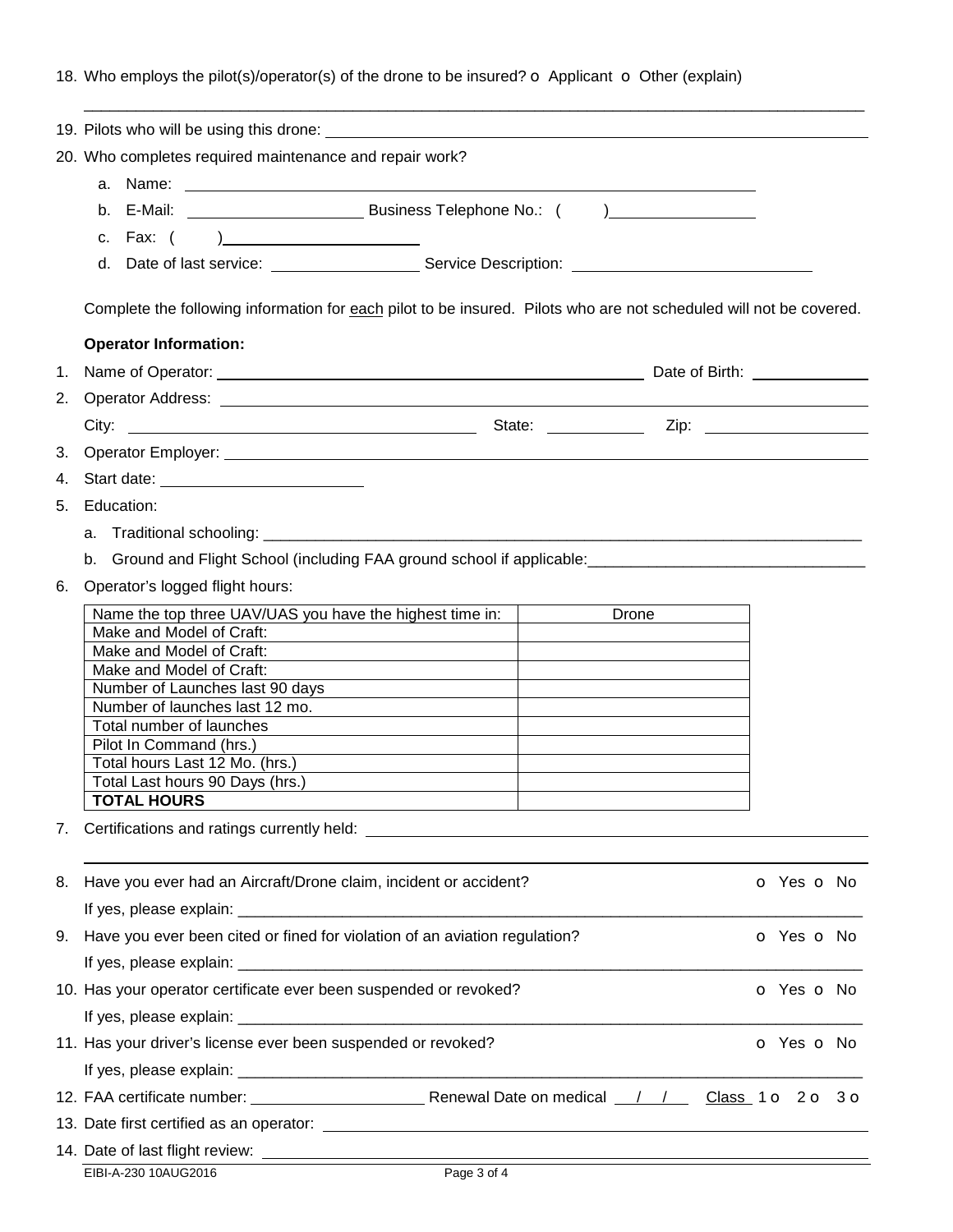## 18. Who employs the pilot(s)/operator(s) of the drone to be insured? o Applicant o Other (explain)

|    | 20. Who completes required maintenance and repair work?                                                                     |                          |  |  |  |  |
|----|-----------------------------------------------------------------------------------------------------------------------------|--------------------------|--|--|--|--|
|    |                                                                                                                             |                          |  |  |  |  |
|    |                                                                                                                             |                          |  |  |  |  |
|    |                                                                                                                             |                          |  |  |  |  |
|    |                                                                                                                             |                          |  |  |  |  |
|    |                                                                                                                             |                          |  |  |  |  |
|    | Complete the following information for each pilot to be insured. Pilots who are not scheduled will not be covered.          |                          |  |  |  |  |
|    | <b>Operator Information:</b>                                                                                                |                          |  |  |  |  |
| 1. |                                                                                                                             |                          |  |  |  |  |
| 2. |                                                                                                                             |                          |  |  |  |  |
|    |                                                                                                                             |                          |  |  |  |  |
|    |                                                                                                                             |                          |  |  |  |  |
| 3. |                                                                                                                             |                          |  |  |  |  |
| 4. | Start date: _____________________________                                                                                   |                          |  |  |  |  |
| 5. | Education:                                                                                                                  |                          |  |  |  |  |
|    |                                                                                                                             |                          |  |  |  |  |
|    | b. Ground and Flight School (including FAA ground school if applicable: ____________________________                        |                          |  |  |  |  |
| 6. | Operator's logged flight hours:                                                                                             |                          |  |  |  |  |
|    | Name the top three UAV/UAS you have the highest time in:<br>Drone                                                           |                          |  |  |  |  |
|    | Make and Model of Craft:                                                                                                    |                          |  |  |  |  |
|    | Make and Model of Craft:                                                                                                    |                          |  |  |  |  |
|    | Make and Model of Craft:<br>Number of Launches last 90 days                                                                 |                          |  |  |  |  |
|    | Number of launches last 12 mo.                                                                                              |                          |  |  |  |  |
|    | Total number of launches                                                                                                    |                          |  |  |  |  |
|    | Pilot In Command (hrs.)                                                                                                     |                          |  |  |  |  |
|    | Total hours Last 12 Mo. (hrs.)<br>the control of the control of the control of the control of the control of the control of |                          |  |  |  |  |
|    | Total Last hours 90 Days (hrs.)                                                                                             |                          |  |  |  |  |
|    | <b>TOTAL HOURS</b>                                                                                                          |                          |  |  |  |  |
| 7. |                                                                                                                             |                          |  |  |  |  |
| 8. | Have you ever had an Aircraft/Drone claim, incident or accident?                                                            | <b>o</b> Yes <b>o</b> No |  |  |  |  |
| 9. | Have you ever been cited or fined for violation of an aviation regulation?                                                  | <b>o</b> Yes <b>o</b> No |  |  |  |  |
|    |                                                                                                                             |                          |  |  |  |  |
|    |                                                                                                                             |                          |  |  |  |  |
|    | 10. Has your operator certificate ever been suspended or revoked?                                                           | O Yes O No               |  |  |  |  |
|    |                                                                                                                             |                          |  |  |  |  |
|    | 11. Has your driver's license ever been suspended or revoked?                                                               | O Yes O No               |  |  |  |  |
|    |                                                                                                                             |                          |  |  |  |  |
|    |                                                                                                                             |                          |  |  |  |  |
|    |                                                                                                                             |                          |  |  |  |  |
|    |                                                                                                                             |                          |  |  |  |  |
|    | Page 3 of 4<br>EIBI-A-230 10AUG2016                                                                                         |                          |  |  |  |  |